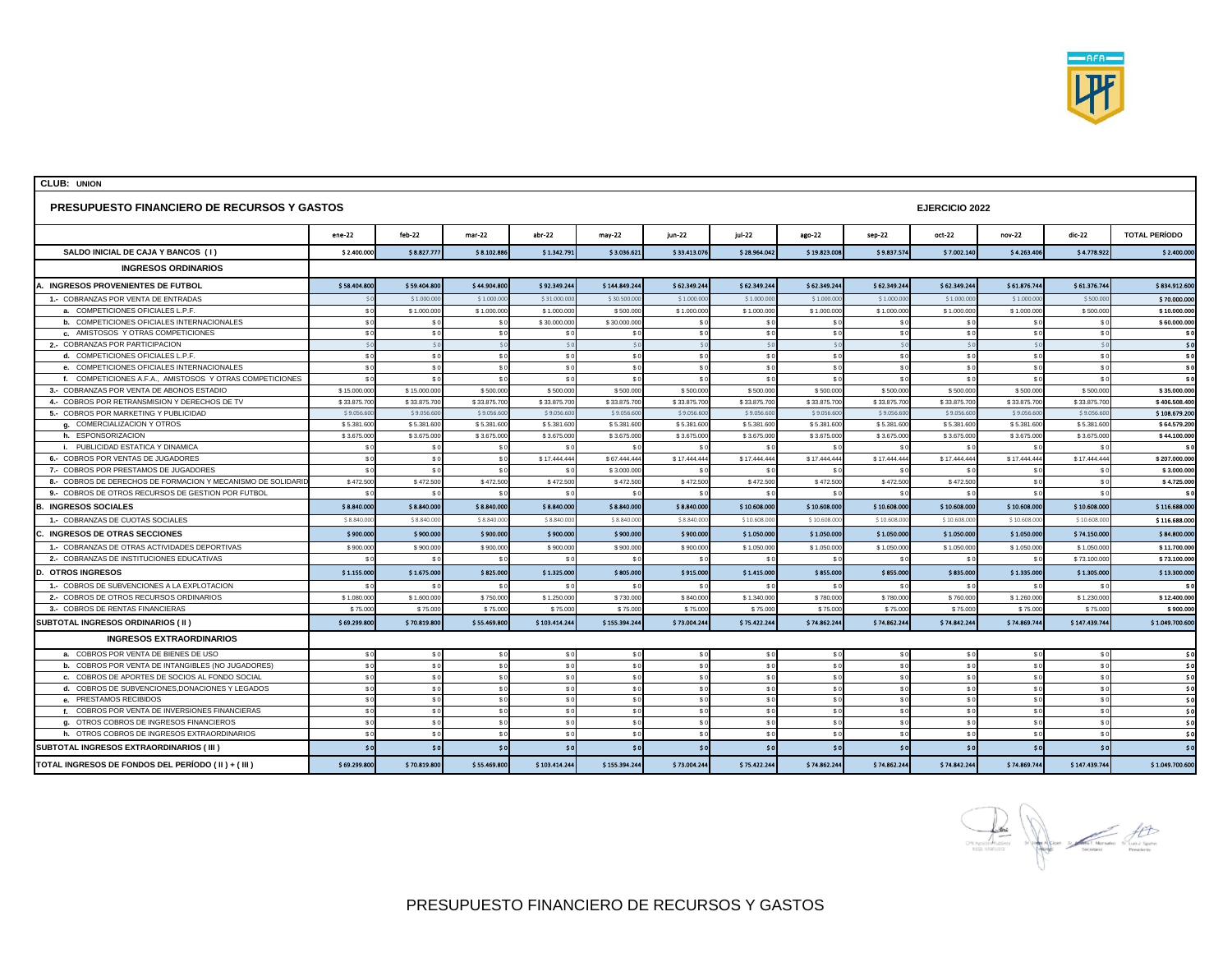

| <b>PRESUPUESTO FINANCIERO DE RECURSOS Y GASTOS</b>           |                 |              |              |              |               | <b>EJERCICIO 2022</b> |                |                |                |              |                |                |                      |
|--------------------------------------------------------------|-----------------|--------------|--------------|--------------|---------------|-----------------------|----------------|----------------|----------------|--------------|----------------|----------------|----------------------|
|                                                              | $ene-22$        | $feb-22$     | $mer-22$     | $abr-22$     | may-22        | $i$ un-22             | $i$ ul-22      | ago-22         | sep-22         | oct-22       | nov-22         | dic-22         | <b>TOTAL PERÍODO</b> |
| SALDO INICIAL DE CAJA Y BANCOS (1)                           | \$2,400.000     | \$8.827.777  | \$8.102.886  | \$1.342.791  | \$3.036.621   | \$33.413.076          | \$28.964.042   | \$19.823.008   | \$9.837.574    | \$7.002.140  | \$4.263.406    | \$4.778.92     | \$2,400.000          |
| <b>INGRESOS ORDINARIOS</b>                                   |                 |              |              |              |               |                       |                |                |                |              |                |                |                      |
| A. INGRESOS PROVENIENTES DE FUTBOL                           | \$58.404.800    | \$59.404.800 | \$44.904.800 | \$92.349.244 | \$144.849.244 | \$62.349.244          | \$62.349.244   | \$62.349.244   | \$62.349.244   | \$62.349.244 | \$61.876.744   | \$61.376.744   | \$834.912.600        |
| 1.- COBRANZAS POR VENTA DE ENTRADAS                          |                 | \$1,000,000  | \$1,000,00   | \$31,000.00  | \$30,500.00   | \$1,000,00            | \$1,000,00     | \$1,000.00     | \$1,000,00     | \$1,000,00   | \$1,000,00     | \$500,00       | \$70,000,000         |
| a. COMPETICIONES OFICIALES L.P.F.                            | $\mathbf{s}$    | \$1.000.000  | \$1.000.000  | \$1.000.00   | \$500.00      | \$1.000.00            | \$1.000.000    | \$1.000.00     | \$1.000.000    | \$1.000.000  | \$1.000.00     | \$500.00       | \$10.000.000         |
| <b>b.</b> COMPETICIONES OFICIALES INTERNACIONALES            | \$0             | \$0          | \$0          | \$30.000.00  | \$30.000.00   | $\mathsf{S}$          | \$0            | S              | S <sub>C</sub> | \$0          | -S             |                | \$60.000.000         |
| c. AMISTOSOS Y OTRAS COMPETICIONES                           | \$0             | \$0          | \$0          | \$0          | \$C           | \$ <sub>0</sub>       | \$0            | \$C            | \$0            | \$0          | \$C            | S(             | \$0                  |
| 2.- COBRANZAS POR PARTICIPACION                              | $\leq$          | \$0          | \$0          | $\sim$       | $\mathcal{S}$ | $\leq$                | \$0            | $\mathcal{S}$  | 50             | SO           | $\leq$         | $\hat{S}$      | \$0                  |
| d. COMPETICIONES OFICIALES L.P.F.                            | \$0             | \$0          | \$0          | \$0          | \$0           | \$C                   | \$0            | \$C            | \$0            | \$0          | \$0            | \$0            | \$0                  |
| e. COMPETICIONES OFICIALES INTERNACIONALES                   | $\mathbf{s}$    | \$0          | \$0          | S            | \$0           | S <sub>1</sub>        | \$0            | S              | S <sub>C</sub> | \$0          | S <sub>C</sub> |                | $\mathsf{s}$         |
| f. COMPETICIONES A.F.A., AMISTOSOS Y OTRAS COMPETICIONES     |                 | \$0          | \$0          | $\mathbf{s}$ |               |                       | S <sub>C</sub> |                | \$0            | \$0          | $\mathbf{s}$   |                | \$0                  |
| 3.- COBRANZAS POR VENTA DE ABONOS ESTADIO                    | \$15.000.00     | \$15.000.00  | \$500.00     | \$500.00     | \$500.00      | \$500.00              | \$500.000      | \$500.00       | \$500.00       | \$500.00     | \$500.00       | \$500.00       | \$35.000.000         |
| 4.- COBROS POR RETRANSMISION Y DERECHOS DE TV                | \$33.875.70     | \$33.875.70  | \$33.875.700 | \$33.875.70  | \$33.875.70   | \$33.875.70           | \$33.875.70    | \$33.875.70    | \$33.875.70    | \$33.875.70  | \$33.875.70    | \$33.875.70    | \$406.508.400        |
| 5.- COBROS POR MARKETING Y PUBLICIDAD                        | \$9,056.60      | \$9,056.60   | \$9,056.60   | \$9,056.60   | \$9,056.6     | \$9,056.60            | \$9,056,60     | \$9,056.60     | \$9,056.60     | \$9,056.60   | \$9,056.60     | \$9,056.6      | \$108,679,200        |
| g. COMERCIALIZACION Y OTROS                                  | \$5.381.60      | \$5.381.60   | \$5.381.600  | \$5.381.60   | \$5.381.60    | \$5.381.60            | \$5.381.600    | \$5.381.60     | \$5.381.600    | \$5.381.600  | \$5.381.60     | \$5.381.60     | \$64.579.200         |
| h. ESPONSORIZACION                                           | \$3.675.00      | \$3.675.00   | \$3.675.000  | \$3.675.00   | \$3.675.00    | \$3.675.00            | \$3.675.000    | \$3.675.00     | \$3.675.000    | \$3.675.000  | \$3.675.00     | \$3.675.00     | \$44.100.000         |
| i. PUBLICIDAD ESTATICA Y DINAMICA                            | $\mathbf{s}$    | s            | \$f          | - 3          |               |                       | S.             |                |                | \$0          | - S            |                | $\boldsymbol{s}$     |
| 6.- COBROS POR VENTAS DE JUGADORES                           | $\mathbf{s}$    | \$0          | \$0          | \$17.444.44  | \$67,444.44   | \$17.444.44           | \$17,444,444   | \$17.444.44    | \$17.444.44    | \$17.444.444 | \$17.444.44    | \$17,444.44    | \$207,000,000        |
| 7.- COBROS POR PRESTAMOS DE JUGADORES                        | $\mathbf{s}$    | $\mathbf{s}$ | \$0          | s            | \$3.000.0     |                       | S <sub>C</sub> |                | $\mathbf{s}$   | \$0          | -S             |                | \$3.000.000          |
| 8.- COBROS DE DERECHOS DE FORMACION Y MECANISMO DE SOLIDARID | \$472.50        | \$472.500    | \$472.500    | \$472.50     | \$472.50      | \$472.50              | \$472.500      | \$472.50       | \$472.500      | \$472.500    | s              | $\mathbf{s}$   | \$4.725.000          |
| 9.- COBROS DE OTROS RECURSOS DE GESTION POR FUTBOL           | -S              | \$0          | \$0          | S            | \$0           | S(                    | S <sub>0</sub> | S <sub>1</sub> | S C            | \$0          | S <sub>C</sub> | \$0            | \$0                  |
| <b>B. INGRESOS SOCIALES</b>                                  | \$8.840.00      | \$8.840.000  | \$8.840.000  | \$8.840.000  | \$8.840.000   | \$8.840.000           | \$10.608.000   | \$10.608.00    | \$10.608.000   | \$10.608.000 | \$10.608.00    | \$10.608.000   | \$116.688.000        |
| 1.- COBRANZAS DE CUOTAS SOCIALES                             | \$8.840.00      | \$8.840.00   | \$8.840.00   | \$8.840.00   | \$8.840.00    | \$8.840.00            | \$10.608.00    | \$10.608.00    | \$10.608.00    | \$10.608.00  | \$10.608.00    | \$10.608.00    | \$116.688.000        |
| C. INGRESOS DE OTRAS SECCIONES                               | \$900.00        | \$900.000    | \$900.000    | \$900.000    | \$900.000     | \$900.000             | \$1.050.000    | \$1.050.000    | \$1.050.000    | \$1.050.000  | \$1.050.000    | \$74.150.000   | \$84.800.000         |
| 1.- COBRANZAS DE OTRAS ACTIVIDADES DEPORTIVAS                | \$900.00        | \$900.000    | \$900.000    | \$900.00     | \$900.00      | \$900.000             | \$1.050.000    | \$1.050.00     | \$1.050.000    | \$1.050.000  | \$1.050.00     | \$1.050.00     | \$11.700.000         |
| 2.- COBRANZAS DE INSTITUCIONES EDUCATIVAS                    |                 | s            | \$C          | $\mathbf{s}$ | - S (         | $\mathbf{s}$          | S C            | - \$           | S(             | \$0          | -S             | \$73.100.00    | \$73.100.000         |
| <b>D. OTROS INGRESOS</b>                                     | \$1.155.000     | \$1.675.000  | \$825.000    | \$1.325.000  | \$805.000     | \$915.000             | \$1.415.000    | \$855.000      | \$855.000      | \$835.000    | \$1.335.000    | \$1.305.000    | \$13.300.000         |
| 1.- COBROS DE SUBVENCIONES A LA EXPLOTACION                  |                 |              | \$0          | $\mathbf{s}$ |               |                       | S(             |                | S <sub>1</sub> | \$0          |                |                | \$0                  |
| 2.- COBROS DE OTROS RECURSOS ORDINARIOS                      | \$1.080.00      | \$1.600.00   | \$750.000    | \$1.250.00   | \$730.00      | \$840.00              | \$1.340.00     | \$780.00       | \$780.000      | \$760.000    | \$1.260.00     | \$1.230.00     | \$12.400.000         |
| 3.- COBROS DE RENTAS FINANCIERAS                             | \$75.00         | \$75.00      | \$75,000     | \$75.00      | \$75.00       | \$75.00               | \$75,000       | \$75.00        | \$75,000       | \$75,000     | \$75.00        | \$75.00        | \$900,000            |
| SUBTOTAL INGRESOS ORDINARIOS (II)                            | \$69,299.80     | \$70,819,800 | \$55,469,800 | \$103,414.24 | \$155.394.24  | \$73.004.244          | \$75.422.244   | \$74.862.24    | \$74,862,244   | \$74.842.244 | \$74,869.74    | \$147.439.744  | \$1.049.700.600      |
| <b>INGRESOS EXTRAORDINARIOS</b>                              |                 |              |              |              |               |                       |                |                |                |              |                |                |                      |
| a. COBROS POR VENTA DE BIENES DE USO                         | \$0             | \$0          | \$0          | \$0          | \$0           | \$C                   | \$0            | \$0            | \$0            | \$0          | \$C            | \$0            | \$0                  |
| b. COBROS POR VENTA DE INTANGIBLES (NO JUGADORES)            | \$0             | \$0          | \$0          | \$0          | \$0           | \$C                   | \$0            | \$C            | \$0            | \$0          | s.             | S <sub>C</sub> | \$0                  |
| c. COBROS DE APORTES DE SOCIOS AL FONDO SOCIAL               | \$0             | \$0          | \$0          | \$0          | \$0           | \$C                   | \$0            | \$C            | \$0            | \$0          | \$C            | \$0            | \$0                  |
| d. COBROS DE SUBVENCIONES.DONACIONES Y LEGADOS               | \$0             | \$0          | \$0          | \$0          | \$0           | \$C                   | \$0            | \$C            | \$0            | \$0          | \$C            | SC             | - \$ 0               |
| e. PRESTAMOS RECIBIDOS                                       | \$0             | \$0          | \$0          | \$0          | \$0           | \$0                   | \$0            | \$0            | \$0            | \$0          | \$0            | \$0            | \$0                  |
| f. COBROS POR VENTA DE INVERSIONES FINANCIERAS               | \$ <sub>6</sub> | \$0          | \$0          | \$0          | \$0           | S                     | \$0            | \$C            | S <sub>C</sub> | \$0          | \$C            | S C            | \$0                  |
| g. OTROS COBROS DE INGRESOS FINANCIEROS                      |                 | \$0          | \$0          | S            | \$0           | S                     | \$0            | $\mathbf{s}$   | \$()           | \$0          | -S             |                | \$0                  |
| h. OTROS COBROS DE INGRESOS EXTRAORDINARIOS                  | \$0             | \$0          | \$0          | \$0          | \$0           | S                     | \$0            | \$C            | S <sub>C</sub> | \$0          | \$C            | S(             | \$0                  |
| SUBTOTAL INGRESOS EXTRAORDINARIOS ( III )                    |                 | \$0          | sol          | \$0          | 50            | 50                    | \$0            | \$0            | \$0            | 50           | 50             | \$0            | \$0                  |
|                                                              |                 |              |              |              |               |                       |                |                |                |              |                |                |                      |